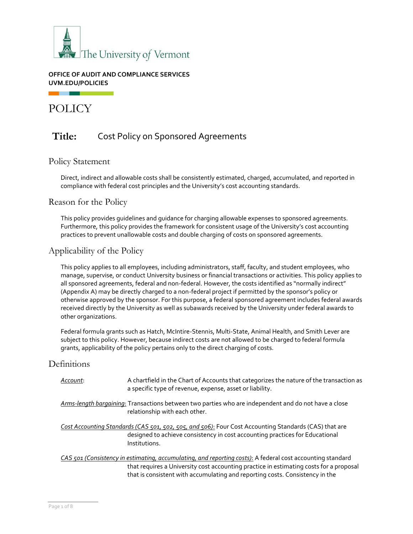

#### **OFFICE OF AUDIT AND COMPLIANCE SERVICES UVM.EDU/POLICIES**

POLICY

# **Title:** Cost Policy on Sponsored Agreements

### Policy Statement

Direct, indirect and allowable costs shall be consistently estimated, charged, accumulated, and reported in compliance with federal cost principles and the University's cost accounting standards.

### Reason for the Policy

This policy provides guidelines and guidance for charging allowable expenses to sponsored agreements. Furthermore, this policy provides the framework for consistent usage of the University's cost accounting practices to prevent unallowable costs and double charging of costs on sponsored agreements.

## Applicability of the Policy

This policy applies to all employees, including administrators, staff, faculty, and student employees, who manage, supervise, or conduct University business or financial transactions or activities. This policy applies to all sponsored agreements, federal and non-federal. However, the costs identified as "normally indirect" (Appendix A) may be directly charged to a non-federal project if permitted by the sponsor's policy or otherwise approved by the sponsor. For this purpose, a federal sponsored agreement includes federal awards received directly by the University as well as subawards received by the University under federal awards to other organizations.

Federal formula grants such as Hatch, McIntire-Stennis, Multi-State, Animal Health, and Smith Lever are subject to this policy. However, because indirect costs are not allowed to be charged to federal formula grants, applicability of the policy pertains only to the direct charging of costs.

## **Definitions**

| Account: | A chartfield in the Chart of Accounts that categorizes the nature of the transaction as<br>a specific type of revenue, expense, asset or liability.                                                    |
|----------|--------------------------------------------------------------------------------------------------------------------------------------------------------------------------------------------------------|
|          | Arms-length bargaining: Transactions between two parties who are independent and do not have a close<br>relationship with each other.                                                                  |
|          | Cost Accounting Standards (CAS 501, 502, 505, and 506): Four Cost Accounting Standards (CAS) that are<br>designed to achieve consistency in cost accounting practices for Educational<br>Institutions. |
|          | CAS 501 (Consistency in estimating, accumulating, and reporting costs): A federal cost accounting standard<br>that requires a University cost accounting practice in estimating costs for a proposal   |

that requires a University cost accounting practice in estimating costs for a proposal that is consistent with accumulating and reporting costs. Consistency in the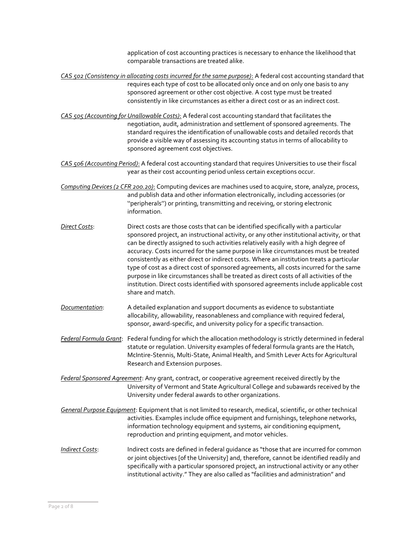application of cost accounting practices is necessary to enhance the likelihood that comparable transactions are treated alike.

*CAS 502 (Consistency in allocating costs incurred for the same purpose)*: A federal cost accounting standard that requires each type of cost to be allocated only once and on only one basis to any sponsored agreement or other cost objective. A cost type must be treated consistently in like circumstances as either a direct cost or as an indirect cost.

*CAS 505 (Accounting for Unallowable Costs)*: A federal cost accounting standard that facilitates the negotiation, audit, administration and settlement of sponsored agreements. The standard requires the identification of unallowable costs and detailed records that provide a visible way of assessing its accounting status in terms of allocability to sponsored agreement cost objectives.

*CAS 506 (Accounting Period)*: A federal cost accounting standard that requires Universities to use their fiscal year as their cost accounting period unless certain exceptions occur.

*Computing Devices (2 CFR 200.20)*: Computing devices are machines used to acquire, store, analyze, process, and publish data and other information electronically, including accessories (or ''peripherals'') or printing, transmitting and receiving, or storing electronic information.

- *Direct Costs*: Direct costs are those costs that can be identified specifically with a particular sponsored project, an instructional activity, or any other institutional activity, or that can be directly assigned to such activities relatively easily with a high degree of accuracy. Costs incurred for the same purpose in like circumstances must be treated consistently as either direct or indirect costs. Where an institution treats a particular type of cost as a direct cost of sponsored agreements, all costs incurred for the same purpose in like circumstances shall be treated as direct costs of all activities of the institution. Direct costs identified with sponsored agreements include applicable cost share and match.
- *Documentation*: A detailed explanation and support documents as evidence to substantiate allocability, allowability, reasonableness and compliance with required federal, sponsor, award-specific, and university policy for a specific transaction.

*Federal Formula Grant*: Federal funding for which the allocation methodology is strictly determined in federal statute or regulation. University examples of federal formula grants are the Hatch, McIntire-Stennis, Multi-State, Animal Health, and Smith Lever Acts for Agricultural Research and Extension purposes.

*Federal Sponsored Agreement*: Any grant, contract, or cooperative agreement received directly by the University of Vermont and State Agricultural College and subawards received by the University under federal awards to other organizations.

*General Purpose Equipment*: Equipment that is not limited to research, medical, scientific, or other technical activities. Examples include office equipment and furnishings, telephone networks, information technology equipment and systems, air conditioning equipment, reproduction and printing equipment, and motor vehicles.

*Indirect Costs*: Indirect costs are defined in federal guidance as "those that are incurred for common or joint objectives [of the University] and, therefore, cannot be identified readily and specifically with a particular sponsored project, an instructional activity or any other institutional activity." They are also called as "facilities and administration" and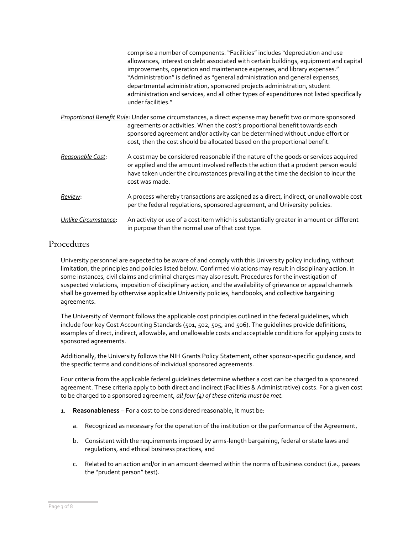<span id="page-2-0"></span>

|                      | comprise a number of components. "Facilities" includes "depreciation and use<br>allowances, interest on debt associated with certain buildings, equipment and capital<br>improvements, operation and maintenance expenses, and library expenses."<br>"Administration" is defined as "general administration and general expenses,<br>departmental administration, sponsored projects administration, student<br>administration and services, and all other types of expenditures not listed specifically<br>under facilities." |
|----------------------|--------------------------------------------------------------------------------------------------------------------------------------------------------------------------------------------------------------------------------------------------------------------------------------------------------------------------------------------------------------------------------------------------------------------------------------------------------------------------------------------------------------------------------|
|                      | Proportional Benefit Rule: Under some circumstances, a direct expense may benefit two or more sponsored<br>agreements or activities. When the cost's proportional benefit towards each<br>sponsored agreement and/or activity can be determined without undue effort or<br>cost, then the cost should be allocated based on the proportional benefit.                                                                                                                                                                          |
| Reasonable Cost:     | A cost may be considered reasonable if the nature of the goods or services acquired<br>or applied and the amount involved reflects the action that a prudent person would<br>have taken under the circumstances prevailing at the time the decision to incur the<br>cost was made.                                                                                                                                                                                                                                             |
| <u>Review:</u>       | A process whereby transactions are assigned as a direct, indirect, or unallowable cost<br>per the federal regulations, sponsored agreement, and University policies.                                                                                                                                                                                                                                                                                                                                                           |
| Unlike Circumstance: | An activity or use of a cost item which is substantially greater in amount or different<br>in purpose than the normal use of that cost type.                                                                                                                                                                                                                                                                                                                                                                                   |

## Procedures

University personnel are expected to be aware of and comply with this University policy including, without limitation, the principles and policies listed below. Confirmed violations may result in disciplinary action. In some instances, civil claims and criminal charges may also result. Procedures for the investigation of suspected violations, imposition of disciplinary action, and the availability of grievance or appeal channels shall be governed by otherwise applicable University policies, handbooks, and collective bargaining agreements.

The University of Vermont follows the applicable cost principles outlined in the federal guidelines, which include four key Cost Accounting Standards (501, 502, 505, and 506). The guidelines provide definitions, examples of direct, indirect, allowable, and unallowable costs and acceptable conditions for applying costs to sponsored agreements.

Additionally, the University follows the NIH Grants Policy Statement, other sponsor-specific guidance, and the specific terms and conditions of individual sponsored agreements.

Four criteria from the applicable federal guidelines determine whether a cost can be charged to a sponsored agreement. These criteria apply to both direct and indirect (Facilities & Administrative) costs. For a given cost to be charged to a sponsored agreement, *all four (4) of these criteria must be met.*

- 1. **Reasonableness**  For a cost to be considered reasonable, it must be:
	- a. Recognized as necessary for the operation of the institution or the performance of the Agreement,
	- b. Consistent with the requirements imposed by arms-length bargaining, federal or state laws and regulations, and ethical business practices, and
	- c. Related to an action and/or in an amount deemed within the norms of business conduct (i.e., passes the "prudent person" test).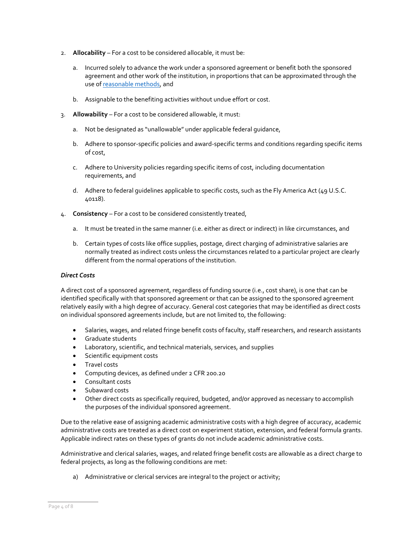- 2. **Allocability**  For a cost to be considered allocable, it must be:
	- a. Incurred solely to advance the work under a sponsored agreement or benefit both the sponsored agreement and other work of the institution, in proportions that can be approximated through the use o[f reasonable methods,](https://www.uvm.edu/sites/default/files/Division-of-Finance/cost_accounting/Allocation_Examples.pdf) and
	- b. Assignable to the benefiting activities without undue effort or cost.
- 3. **Allowability**  For a cost to be considered allowable, it must:
	- a. Not be designated as "unallowable" under applicable federal guidance,
	- b. Adhere to sponsor-specific policies and award-specific terms and conditions regarding specific items of cost,
	- c. Adhere to University policies regarding specific items of cost, including documentation requirements, and
	- d. Adhere to federal quidelines applicable to specific costs, such as the Fly America Act (49 U.S.C. 40118).
- 4. **Consistency**  For a cost to be considered consistently treated,
	- a. It must be treated in the same manner (i.e. either as direct or indirect) in like circumstances, and
	- b. Certain types of costs like office supplies, postage, direct charging of administrative salaries are normally treated as indirect costs unless the circumstances related to a particular project are clearly different from the normal operations of the institution.

#### *Direct Costs*

A direct cost of a sponsored agreement, regardless of funding source (i.e., cost share), is one that can be identified specifically with that sponsored agreement or that can be assigned to the sponsored agreement relatively easily with a high degree of accuracy. General cost categories that may be identified as direct costs on individual sponsored agreements include, but are not limited to, the following:

- Salaries, wages, and related fringe benefit costs of faculty, staff researchers, and research assistants
- Graduate students
- Laboratory, scientific, and technical materials, services, and supplies
- Scientific equipment costs
- Travel costs
- Computing devices, as defined under 2 CFR 200.20
- Consultant costs
- Subaward costs
- Other direct costs as specifically required, budgeted, and/or approved as necessary to accomplish the purposes of the individual sponsored agreement.

Due to the relative ease of assigning academic administrative costs with a high degree of accuracy, academic administrative costs are treated as a direct cost on experiment station, extension, and federal formula grants. Applicable indirect rates on these types of grants do not include academic administrative costs.

Administrative and clerical salaries, wages, and related fringe benefit costs are allowable as a direct charge to federal projects, as long as the following conditions are met:

a) Administrative or clerical services are integral to the project or activity;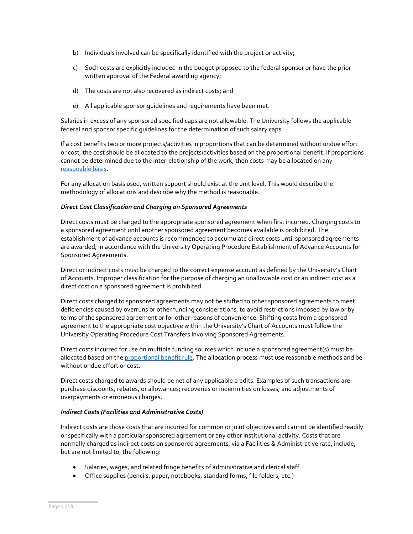- b) Individuals involved can be specifically identified with the project or activity;
- c) Such costs are explicitly included in the budget proposed to the federal sponsor or have the prior written approval of the Federal awarding agency;
- d) The costs are not also recovered as indirect costs; and
- e) All applicable sponsor guidelines and requirements have been met.

Salaries in excess of any sponsored specified caps are not allowable. The University follows the applicable federal and sponsor specific guidelines for the determination of such salary caps.

If a cost benefits two or more projects/activities in proportions that can be determined without undue effort or cost, the cost should be allocated to the projects/activities based on the proportional benefit. If proportions cannot be determined due to the interrelationship of the work, then costs may be allocated on any [reasonable basis.](https://www.uvm.edu/sites/default/files/Division-of-Finance/cost_accounting/Allocation_Examples.pdf)

For any allocation basis used, written support should exist at the unit level. This would describe the methodology of allocations and describe why the method is reasonable.

#### *Direct Cost Classification and Charging on Sponsored Agreements*

Direct costs must be charged to the appropriate sponsored agreement when first incurred. Charging costs to a sponsored agreement until another sponsored agreement becomes available is prohibited. The establishment of advance accounts is recommended to accumulate direct costs until sponsored agreements are awarded, in accordance with the University Operating Procedure Establishment of Advance Accounts for Sponsored Agreements.

Direct or indirect costs must be charged to the correct expense account as defined by the University's Chart of Accounts. Improper classification for the purpose of charging an unallowable cost or an indirect cost as a direct cost on a sponsored agreement is prohibited.

Direct costs charged to sponsored agreements may not be shifted to other sponsored agreements to meet deficiencies caused by overruns or other funding considerations, to avoid restrictions imposed by law or by terms of the sponsored agreement or for other reasons of convenience. Shifting costs from a sponsored agreement to the appropriate cost objective within the University's Chart of Accounts must follow the University Operating Procedure Cost Transfers Involving Sponsored Agreements.

Direct costs incurred for use on multiple funding sources which include a sponsored agreement(s) must be allocated based on the [proportional benefit rule.](#page-2-0) The allocation process must use reasonable methods and be without undue effort or cost.

Direct costs charged to awards should be net of any applicable credits. Examples of such transactions are: purchase discounts, rebates, or allowances; recoveries or indemnities on losses; and adjustments of overpayments or erroneous charges.

#### *Indirect Costs (Facilities and Administrative Costs)*

Indirect costs are those costs that are incurred for common or joint objectives and cannot be identified readily or specifically with a particular sponsored agreement or any other institutional activity. Costs that are normally charged as indirect costs on sponsored agreements, via a Facilities & Administrative rate, include, but are not limited to, the following:

- Salaries, wages, and related fringe benefits of administrative and clerical staff
- Office supplies (pencils, paper, notebooks, standard forms, file folders, etc.)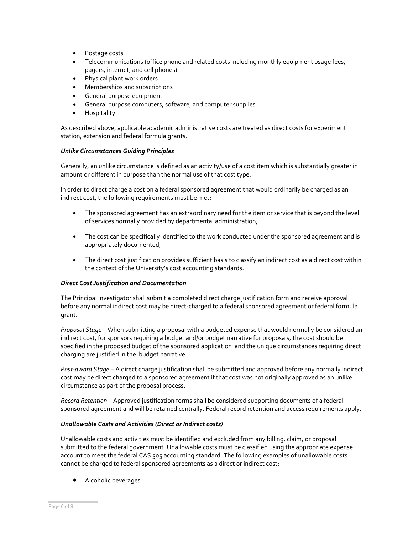- Postage costs
- Telecommunications (office phone and related costs including monthly equipment usage fees, pagers, internet, and cell phones)
- Physical plant work orders
- Memberships and subscriptions
- General purpose equipment
- General purpose computers, software, and computer supplies
- Hospitality

As described above, applicable academic administrative costs are treated as direct costs for experiment station, extension and federal formula grants.

#### *Unlike Circumstances Guiding Principles*

Generally, an unlike circumstance is defined as an activity/use of a cost item which is substantially greater in amount or different in purpose than the normal use of that cost type.

In order to direct charge a cost on a federal sponsored agreement that would ordinarily be charged as an indirect cost, the following requirements must be met:

- The sponsored agreement has an extraordinary need for the item or service that is beyond the level of services normally provided by departmental administration,
- The cost can be specifically identified to the work conducted under the sponsored agreement and is appropriately documented,
- The direct cost justification provides sufficient basis to classify an indirect cost as a direct cost within the context of the University's cost accounting standards.

#### *Direct Cost Justification and Documentation*

The Principal Investigator shall submit a completed direct charge justification form and receive approval before any normal indirect cost may be direct-charged to a federal sponsored agreement or federal formula grant.

*Proposal Stage* – When submitting a proposal with a budgeted expense that would normally be considered an indirect cost, for sponsors requiring a budget and/or budget narrative for proposals, the cost should be specified in the proposed budget of the sponsored application and the unique circumstances requiring direct charging are justified in the budget narrative.

*Post-award Stage* – A direct charge justification shall be submitted and approved before any normally indirect cost may be direct charged to a sponsored agreement if that cost was not originally approved as an unlike circumstance as part of the proposal process.

*Record Retention* – Approved justification forms shall be considered supporting documents of a federal sponsored agreement and will be retained centrally. Federal record retention and access requirements apply.

#### *Unallowable Costs and Activities (Direct or Indirect costs)*

Unallowable costs and activities must be identified and excluded from any billing, claim, or proposal submitted to the federal government. Unallowable costs must be classified using the appropriate expense account to meet the federal CAS 505 accounting standard. The following examples of unallowable costs cannot be charged to federal sponsored agreements as a direct or indirect cost:

• Alcoholic beverages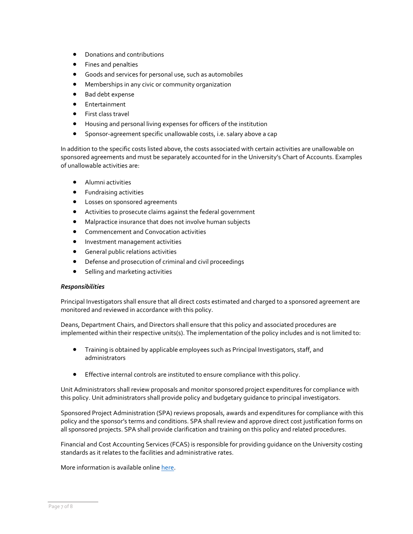- Donations and contributions
- Fines and penalties
- Goods and services for personal use, such as automobiles
- Memberships in any civic or community organization
- Bad debt expense
- Entertainment
- First class travel
- Housing and personal living expenses for officers of the institution
- Sponsor-agreement specific unallowable costs, i.e. salary above a cap

In addition to the specific costs listed above, the costs associated with certain activities are unallowable on sponsored agreements and must be separately accounted for in the University's Chart of Accounts. Examples of unallowable activities are:

- Alumni activities
- Fundraising activities
- Losses on sponsored agreements
- Activities to prosecute claims against the federal government
- Malpractice insurance that does not involve human subjects
- Commencement and Convocation activities
- Investment management activities
- General public relations activities
- Defense and prosecution of criminal and civil proceedings
- Selling and marketing activities

#### *Responsibilities*

Principal Investigators shall ensure that all direct costs estimated and charged to a sponsored agreement are monitored and reviewed in accordance with this policy.

Deans, Department Chairs, and Directors shall ensure that this policy and associated procedures are implemented within their respective units(s). The implementation of the policy includes and is not limited to:

- Training is obtained by applicable employees such as Principal Investigators, staff, and administrators
- Effective internal controls are instituted to ensure compliance with this policy.

Unit Administrators shall review proposals and monitor sponsored project expenditures for compliance with this policy. Unit administrators shall provide policy and budgetary guidance to principal investigators.

Sponsored Project Administration (SPA) reviews proposals, awards and expenditures for compliance with this policy and the sponsor's terms and conditions. SPA shall review and approve direct cost justification forms on all sponsored projects. SPA shall provide clarification and training on this policy and related procedures.

Financial and Cost Accounting Services (FCAS) is responsible for providing guidance on the University costing standards as it relates to the facilities and administrative rates.

More information is available onlin[e here.](https://www.uvm.edu/uvmweb/sponsored_programs/spa-procedures)